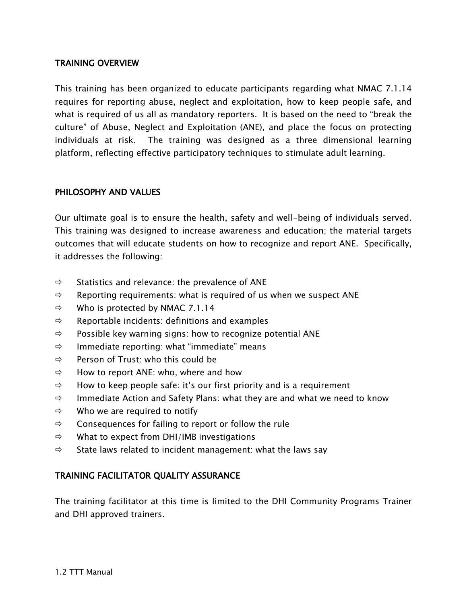# TRAINING OVERVIEW

This training has been organized to educate participants regarding what NMAC 7.1.14 requires for reporting abuse, neglect and exploitation, how to keep people safe, and what is required of us all as mandatory reporters. It is based on the need to "break the culture" of Abuse, Neglect and Exploitation (ANE), and place the focus on protecting individuals at risk. The training was designed as a three dimensional learning platform, reflecting effective participatory techniques to stimulate adult learning.

#### PHILOSOPHY AND VALUES

Our ultimate goal is to ensure the health, safety and well-being of individuals served. This training was designed to increase awareness and education; the material targets outcomes that will educate students on how to recognize and report ANE. Specifically, it addresses the following:

- $\Rightarrow$  Statistics and relevance: the prevalence of ANE
- $\Rightarrow$  Reporting requirements: what is required of us when we suspect ANE
- $\Rightarrow$  Who is protected by NMAC 7.1.14
- $\Rightarrow$  Reportable incidents: definitions and examples
- $\Rightarrow$  Possible key warning signs: how to recognize potential ANE
- $\Rightarrow$  Immediate reporting: what "immediate" means
- $\Rightarrow$  Person of Trust: who this could be
- $\Rightarrow$  How to report ANE: who, where and how
- $\Rightarrow$  How to keep people safe: it's our first priority and is a requirement
- $\Rightarrow$  Immediate Action and Safety Plans: what they are and what we need to know
- $\Rightarrow$  Who we are required to notify
- $\Rightarrow$  Consequences for failing to report or follow the rule
- $\Rightarrow$  What to expect from DHI/IMB investigations
- $\Rightarrow$  State laws related to incident management: what the laws say

### TRAINING FACILITATOR QUALITY ASSURANCE

The training facilitator at this time is limited to the DHI Community Programs Trainer and DHI approved trainers.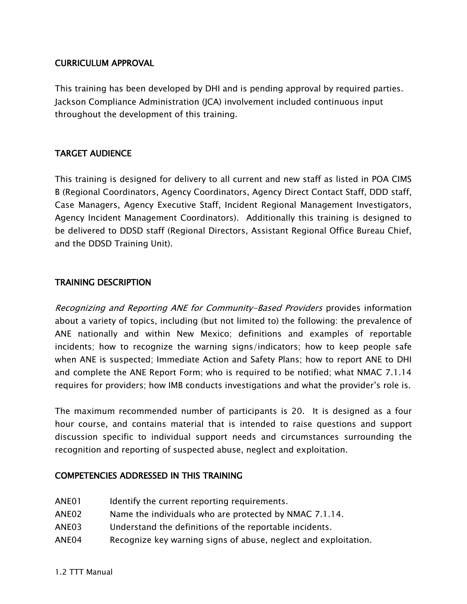### CURRICULUM APPROVAL

This training has been developed by DHI and is pending approval by required parties. Jackson Compliance Administration (JCA) involvement included continuous input throughout the development of this training.

# TARGET AUDIENCE

This training is designed for delivery to all current and new staff as listed in POA CIMS B (Regional Coordinators, Agency Coordinators, Agency Direct Contact Staff, DDD staff, Case Managers, Agency Executive Staff, Incident Regional Management Investigators, Agency Incident Management Coordinators). Additionally this training is designed to be delivered to DDSD staff (Regional Directors, Assistant Regional Office Bureau Chief, and the DDSD Training Unit).

# TRAINING DESCRIPTION

Recognizing and Reporting ANE for Community-Based Providers provides information about a variety of topics, including (but not limited to) the following: the prevalence of ANE nationally and within New Mexico; definitions and examples of reportable incidents; how to recognize the warning signs/indicators; how to keep people safe when ANE is suspected; Immediate Action and Safety Plans; how to report ANE to DHI and complete the ANE Report Form; who is required to be notified; what NMAC 7.1.14 requires for providers; how IMB conducts investigations and what the provider's role is.

The maximum recommended number of participants is 20. It is designed as a four hour course, and contains material that is intended to raise questions and support discussion specific to individual support needs and circumstances surrounding the recognition and reporting of suspected abuse, neglect and exploitation.

### COMPETENCIES ADDRESSED IN THIS TRAINING

- ANE01 Identify the current reporting requirements.
- ANE02 Name the individuals who are protected by NMAC 7.1.14.
- ANE03 Understand the definitions of the reportable incidents.
- ANE04 Recognize key warning signs of abuse, neglect and exploitation.